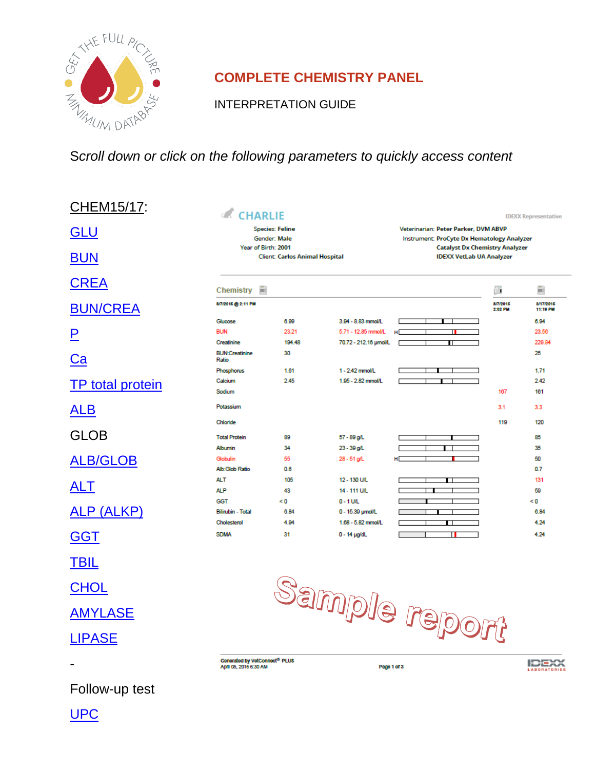

# **COMPLETE CHEMISTRY PANEL**

INTERPRETATION GUIDE

# S*croll down or click on the following parameters to quickly access content*

| CHEM15/17:              | <b>CHARLIE</b>                                               |            |                                           |                                                                                    |                     | <b>IDEXX Representative</b>         |
|-------------------------|--------------------------------------------------------------|------------|-------------------------------------------|------------------------------------------------------------------------------------|---------------------|-------------------------------------|
| <b>GLU</b>              | <b>Species: Feline</b><br>Gender: Male                       |            |                                           | Veterinarian: Peter Parker, DVM ABVP<br>Instrument: ProCyte Dx Hematology Analyzer |                     |                                     |
| <b>BUN</b>              | Year of Birth: 2001<br><b>Client: Carlos Animal Hospital</b> |            |                                           | <b>Catalyst Dx Chemistry Analyzer</b><br><b>IDEXX VetLab UA Analyzer</b>           |                     |                                     |
| <b>CREA</b>             | ÷<br>Chemistry                                               |            |                                           |                                                                                    | ñ                   | 曲                                   |
| <b>BUN/CREA</b>         | 8/7/2016 @ 2:11 PM                                           |            |                                           |                                                                                    | 8/7/2016<br>2:02 PM | 3/17/2015<br>11:19 PM               |
|                         | Glucose                                                      | 6.99       | 3.94 - 8.83 mmol/L                        |                                                                                    |                     | 6.94                                |
| P                       | <b>BUN</b>                                                   | 23.21      | 5.71 - 12.85 mmol/L                       | н                                                                                  |                     | 23.56                               |
|                         | Creatinine                                                   | 194.48     | 70.72 - 212.16 umol/L                     | π                                                                                  |                     | 229.84                              |
| Ca                      | <b>BUN:Creatinine</b><br>Ratio                               | 30         |                                           |                                                                                    |                     | 25                                  |
|                         | Phosphorus                                                   | 1.61       | 1 - 2.42 mmol/L                           |                                                                                    |                     | 1.71                                |
| <b>TP</b> total protein | Calcium                                                      | 2.45       | 1.95 - 2.82 mmol/L                        |                                                                                    |                     | 2.42                                |
|                         | Sodium                                                       |            |                                           |                                                                                    | 167                 | 161                                 |
| <b>ALB</b>              | Potassium<br>Chloride                                        |            |                                           |                                                                                    | 3.1<br>119          | 3.3<br>120                          |
| <b>GLOB</b>             | <b>Total Protein</b>                                         | 89         | 57 - 89 g/L                               |                                                                                    |                     | 85                                  |
|                         | <b>Albumin</b>                                               | 34         | 23 - 39 g/L                               |                                                                                    |                     | 35                                  |
| <b>ALB/GLOB</b>         | Globulin                                                     | 55         | 28 - 51 g/L                               | н                                                                                  |                     | 50                                  |
|                         | Alb:Glob Ratio                                               | 0.6        |                                           |                                                                                    |                     | 0.7                                 |
|                         | ALT                                                          | 105        | 12 - 130 U/L                              | П                                                                                  |                     | 131                                 |
| <b>ALT</b>              | <b>ALP</b>                                                   | 43         | 14 - 111 U/L                              |                                                                                    |                     | 50                                  |
|                         | <b>GGT</b>                                                   | < 0        | $0 - 1$ U/L                               |                                                                                    |                     | < 0                                 |
| ALP (ALKP)              | <b>Bilirubin - Total</b>                                     | 6.84       | 0 - 15.39 umol/L                          |                                                                                    |                     | 6.84                                |
|                         |                                                              |            |                                           |                                                                                    |                     |                                     |
| <b>GGT</b>              | Cholesterol<br><b>SDMA</b>                                   | 4.94<br>31 | 1.68 - 5.82 mmol/L<br>$0 - 14$ $\mu$ g/dL | . .                                                                                |                     | 4.24<br>4.24                        |
| <b>TBIL</b>             |                                                              |            |                                           |                                                                                    |                     |                                     |
| <b>CHOL</b>             |                                                              |            |                                           |                                                                                    |                     |                                     |
| <b>AMYLASE</b>          |                                                              |            |                                           | Sample report                                                                      |                     |                                     |
| <b>LIPASE</b>           |                                                              |            |                                           |                                                                                    |                     |                                     |
|                         | Generated by VetConnect® PLUS<br>April 05, 2016 6:30 AM      |            |                                           | Page 1 of 3                                                                        |                     | <b>IDEXX</b><br><b>LABORATORIES</b> |
| .                       |                                                              |            |                                           |                                                                                    |                     |                                     |

Follow-up test

[UPC](#page-36-0)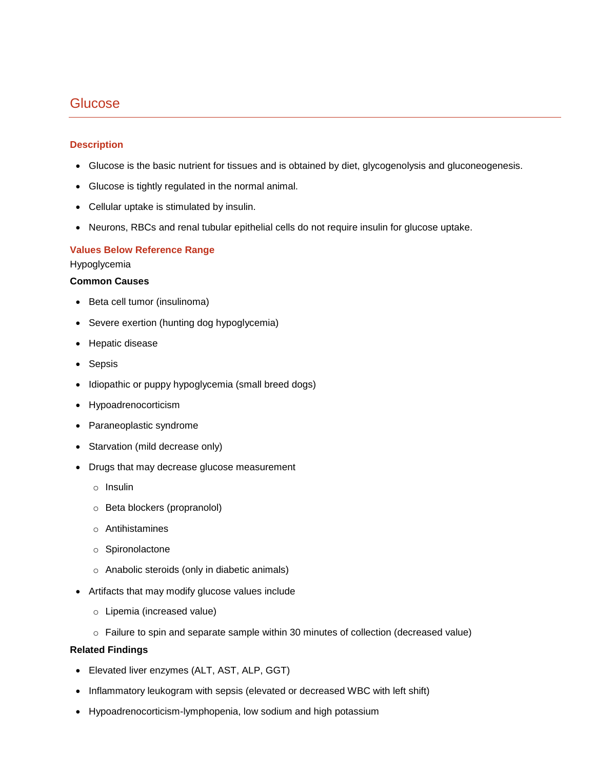# <span id="page-1-0"></span>**Glucose**

## **Description**

- Glucose is the basic nutrient for tissues and is obtained by diet, glycogenolysis and gluconeogenesis.
- Glucose is tightly regulated in the normal animal.
- Cellular uptake is stimulated by insulin.
- Neurons, RBCs and renal tubular epithelial cells do not require insulin for glucose uptake.

## **Values Below Reference Range**

## Hypoglycemia

## **Common Causes**

- Beta cell tumor (insulinoma)
- Severe exertion (hunting dog hypoglycemia)
- Hepatic disease
- Sepsis
- Idiopathic or puppy hypoglycemia (small breed dogs)
- Hypoadrenocorticism
- Paraneoplastic syndrome
- Starvation (mild decrease only)
- Drugs that may decrease glucose measurement
	- o Insulin
	- o Beta blockers (propranolol)
	- o Antihistamines
	- o Spironolactone
	- o Anabolic steroids (only in diabetic animals)
- Artifacts that may modify glucose values include
	- o Lipemia (increased value)
	- o Failure to spin and separate sample within 30 minutes of collection (decreased value)

## **Related Findings**

- Elevated liver enzymes (ALT, AST, ALP, GGT)
- Inflammatory leukogram with sepsis (elevated or decreased WBC with left shift)
- Hypoadrenocorticism-lymphopenia, low sodium and high potassium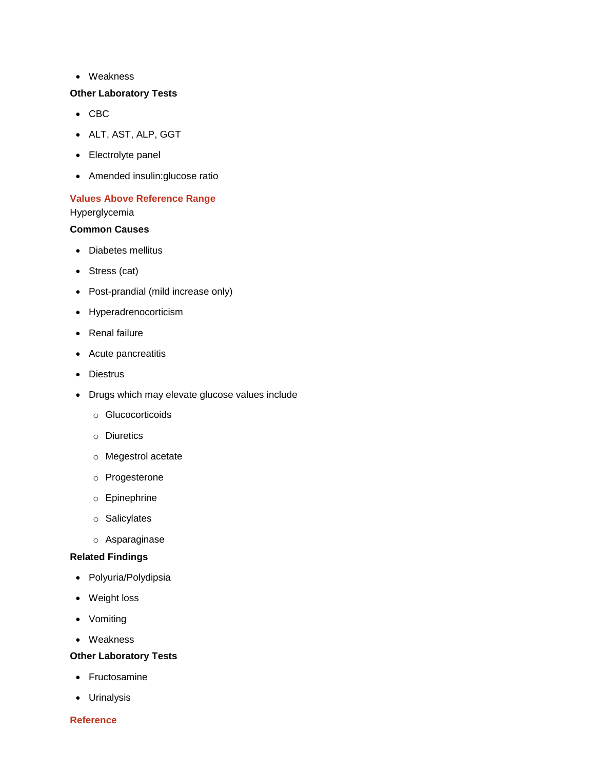Weakness

## **Other Laboratory Tests**

- $\bullet$  CBC
- ALT, AST, ALP, GGT
- Electrolyte panel
- Amended insulin:glucose ratio

# **Values Above Reference Range**

Hyperglycemia

## **Common Causes**

- Diabetes mellitus
- Stress (cat)
- Post-prandial (mild increase only)
- Hyperadrenocorticism
- Renal failure
- Acute pancreatitis
- Diestrus
- Drugs which may elevate glucose values include
	- o Glucocorticoids
	- o Diuretics
	- o Megestrol acetate
	- o Progesterone
	- o Epinephrine
	- o Salicylates
	- o Asparaginase

## **Related Findings**

- Polyuria/Polydipsia
- Weight loss
- Vomiting
- Weakness

## **Other Laboratory Tests**

- Fructosamine
- Urinalysis

## **Reference**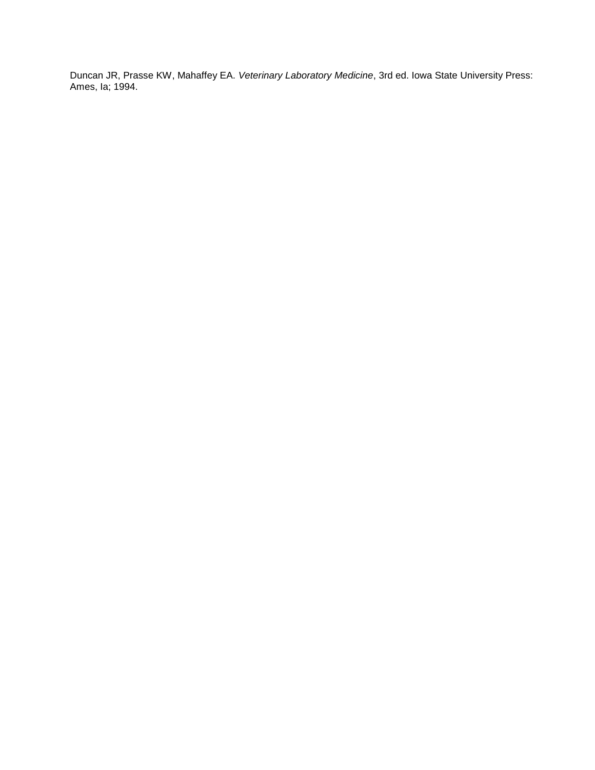Duncan JR, Prasse KW, Mahaffey EA. *Veterinary Laboratory Medicine*, 3rd ed. Iowa State University Press: Ames, Ia; 1994.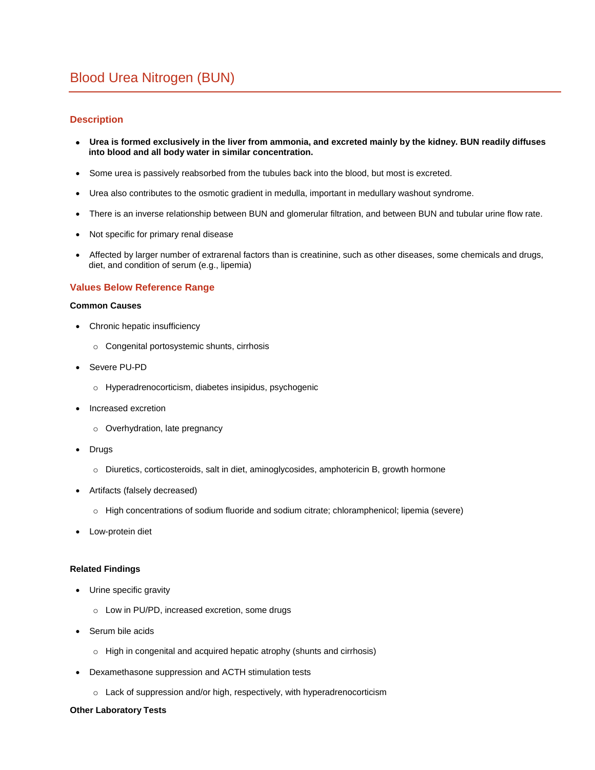## <span id="page-4-0"></span>**Description**

- **Urea is formed exclusively in the liver from ammonia, and excreted mainly by the kidney. BUN readily diffuses into blood and all body water in similar concentration.**
- Some urea is passively reabsorbed from the tubules back into the blood, but most is excreted.
- Urea also contributes to the osmotic gradient in medulla, important in medullary washout syndrome.
- There is an inverse relationship between BUN and glomerular filtration, and between BUN and tubular urine flow rate.
- Not specific for primary renal disease
- Affected by larger number of extrarenal factors than is creatinine, such as other diseases, some chemicals and drugs, diet, and condition of serum (e.g., lipemia)

#### **Values Below Reference Range**

#### **Common Causes**

- Chronic hepatic insufficiency
	- o Congenital portosystemic shunts, cirrhosis
- Severe PU-PD
	- o Hyperadrenocorticism, diabetes insipidus, psychogenic
- Increased excretion
	- o Overhydration, late pregnancy
- Drugs
	- o Diuretics, corticosteroids, salt in diet, aminoglycosides, amphotericin B, growth hormone
- Artifacts (falsely decreased)
	- o High concentrations of sodium fluoride and sodium citrate; chloramphenicol; lipemia (severe)
- Low-protein diet

#### **Related Findings**

- Urine specific gravity
	- o Low in PU/PD, increased excretion, some drugs
- Serum bile acids
	- o High in congenital and acquired hepatic atrophy (shunts and cirrhosis)
- Dexamethasone suppression and ACTH stimulation tests
	- o Lack of suppression and/or high, respectively, with hyperadrenocorticism

#### **Other Laboratory Tests**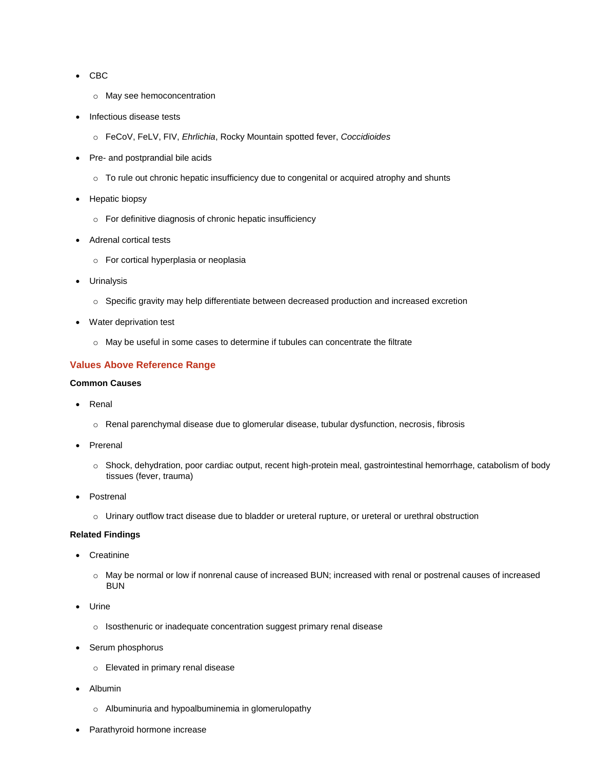- $\bullet$  CBC
	- o May see hemoconcentration
- Infectious disease tests
	- o FeCoV, FeLV, FIV, *Ehrlichia*, Rocky Mountain spotted fever, *Coccidioides*
- Pre- and postprandial bile acids
	- o To rule out chronic hepatic insufficiency due to congenital or acquired atrophy and shunts
- Hepatic biopsy
	- o For definitive diagnosis of chronic hepatic insufficiency
- Adrenal cortical tests
	- o For cortical hyperplasia or neoplasia
- Urinalysis
	- o Specific gravity may help differentiate between decreased production and increased excretion
- Water deprivation test
	- o May be useful in some cases to determine if tubules can concentrate the filtrate

## **Values Above Reference Range**

#### **Common Causes**

- Renal
	- o Renal parenchymal disease due to glomerular disease, tubular dysfunction, necrosis, fibrosis
- Prerenal
	- o Shock, dehydration, poor cardiac output, recent high-protein meal, gastrointestinal hemorrhage, catabolism of body tissues (fever, trauma)
- Postrenal
	- o Urinary outflow tract disease due to bladder or ureteral rupture, or ureteral or urethral obstruction

## **Related Findings**

- **Creatinine** 
	- o May be normal or low if nonrenal cause of increased BUN; increased with renal or postrenal causes of increased BUN
- Urine
	- o Isosthenuric or inadequate concentration suggest primary renal disease
- Serum phosphorus
	- o Elevated in primary renal disease
- Albumin
	- o Albuminuria and hypoalbuminemia in glomerulopathy
- Parathyroid hormone increase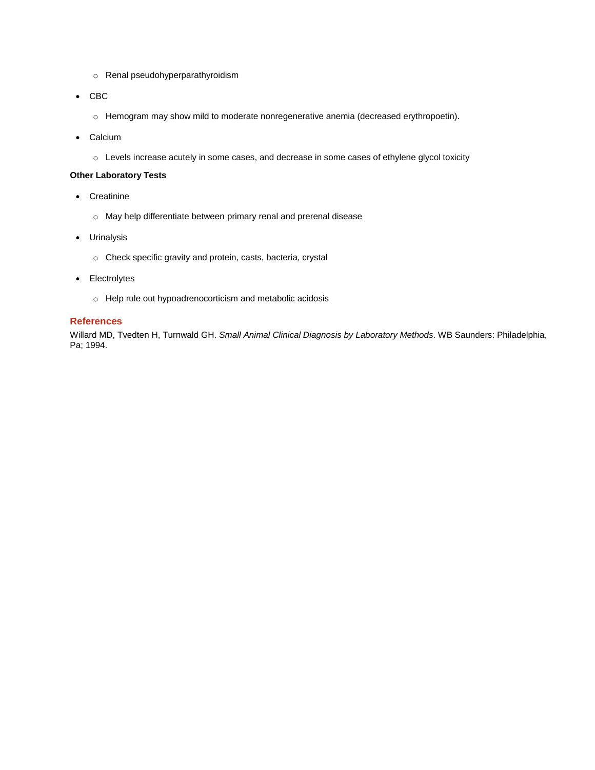- o Renal pseudohyperparathyroidism
- $\bullet$  CBC
	- o Hemogram may show mild to moderate nonregenerative anemia (decreased erythropoetin).
- Calcium
	- o Levels increase acutely in some cases, and decrease in some cases of ethylene glycol toxicity

## **Other Laboratory Tests**

- Creatinine
	- o May help differentiate between primary renal and prerenal disease
- Urinalysis
	- o Check specific gravity and protein, casts, bacteria, crystal
- Electrolytes
	- o Help rule out hypoadrenocorticism and metabolic acidosis

#### **References**

Willard MD, Tvedten H, Turnwald GH. *Small Animal Clinical Diagnosis by Laboratory Methods*. WB Saunders: Philadelphia, Pa; 1994.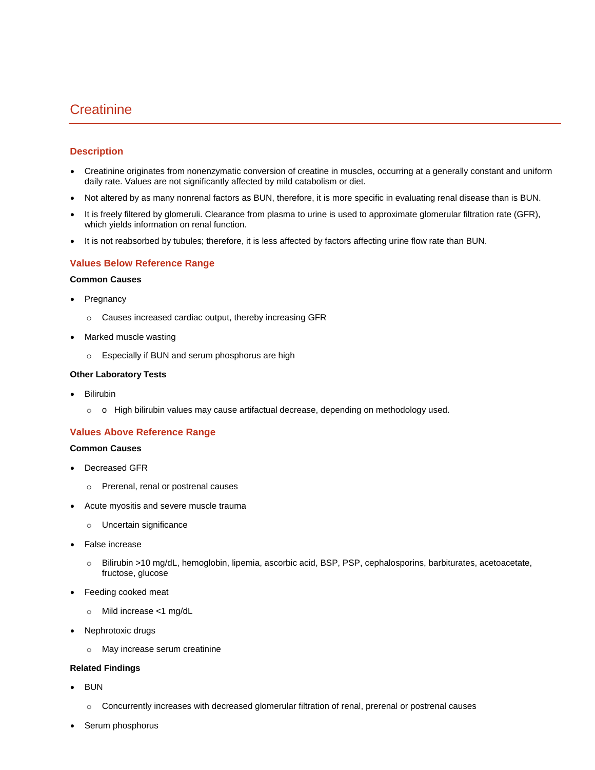# <span id="page-7-0"></span>**Creatinine**

## **Description**

- Creatinine originates from nonenzymatic conversion of creatine in muscles, occurring at a generally constant and uniform daily rate. Values are not significantly affected by mild catabolism or diet.
- Not altered by as many nonrenal factors as BUN, therefore, it is more specific in evaluating renal disease than is BUN.
- It is freely filtered by glomeruli. Clearance from plasma to urine is used to approximate glomerular filtration rate (GFR), which yields information on renal function.
- It is not reabsorbed by tubules; therefore, it is less affected by factors affecting urine flow rate than BUN.

## **Values Below Reference Range**

#### **Common Causes**

- Pregnancy
	- o Causes increased cardiac output, thereby increasing GFR
- Marked muscle wasting
	- o Especially if BUN and serum phosphorus are high

#### **Other Laboratory Tests**

- Bilirubin
	- o o High bilirubin values may cause artifactual decrease, depending on methodology used.

#### **Values Above Reference Range**

#### **Common Causes**

- Decreased GFR
	- o Prerenal, renal or postrenal causes
- Acute myositis and severe muscle trauma
	- o Uncertain significance
- False increase
	- o Bilirubin >10 mg/dL, hemoglobin, lipemia, ascorbic acid, BSP, PSP, cephalosporins, barbiturates, acetoacetate, fructose, glucose
- Feeding cooked meat
	- o Mild increase <1 mg/dL
- Nephrotoxic drugs
	- o May increase serum creatinine

#### **Related Findings**

- BUN
	- o Concurrently increases with decreased glomerular filtration of renal, prerenal or postrenal causes
- Serum phosphorus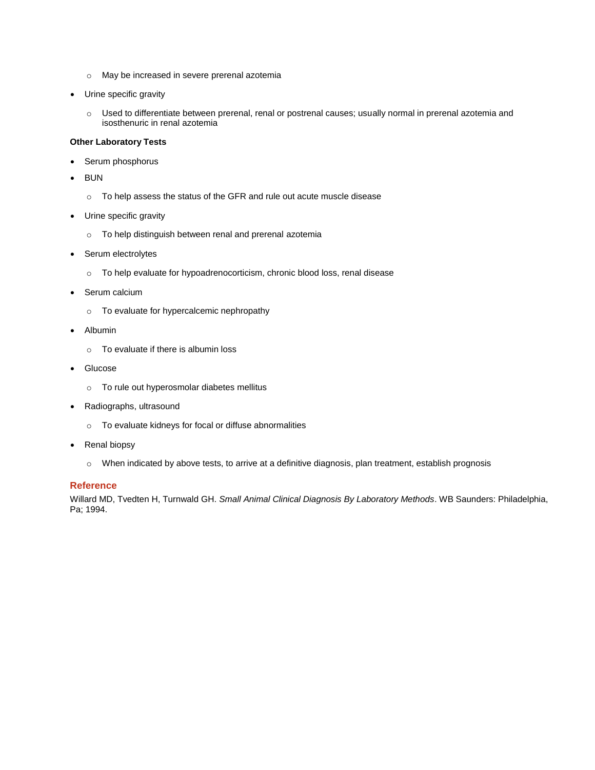- o May be increased in severe prerenal azotemia
- Urine specific gravity
	- o Used to differentiate between prerenal, renal or postrenal causes; usually normal in prerenal azotemia and isosthenuric in renal azotemia

#### **Other Laboratory Tests**

- Serum phosphorus
- BUN
	- o To help assess the status of the GFR and rule out acute muscle disease
- Urine specific gravity
	- o To help distinguish between renal and prerenal azotemia
- Serum electrolytes
	- o To help evaluate for hypoadrenocorticism, chronic blood loss, renal disease
- Serum calcium
	- o To evaluate for hypercalcemic nephropathy
- Albumin
	- o To evaluate if there is albumin loss
- Glucose
	- o To rule out hyperosmolar diabetes mellitus
- Radiographs, ultrasound
	- o To evaluate kidneys for focal or diffuse abnormalities
- Renal biopsy
	- o When indicated by above tests, to arrive at a definitive diagnosis, plan treatment, establish prognosis

#### **Reference**

Willard MD, Tvedten H, Turnwald GH. *Small Animal Clinical Diagnosis By Laboratory Methods*. WB Saunders: Philadelphia, Pa; 1994.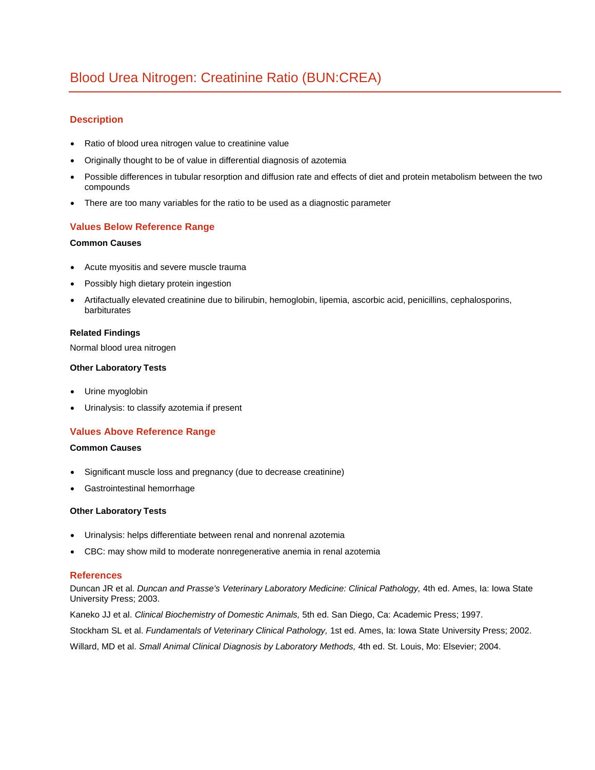# <span id="page-9-0"></span>Blood Urea Nitrogen: Creatinine Ratio (BUN:CREA)

## **Description**

- Ratio of blood urea nitrogen value to creatinine value
- Originally thought to be of value in differential diagnosis of azotemia
- Possible differences in tubular resorption and diffusion rate and effects of diet and protein metabolism between the two compounds
- There are too many variables for the ratio to be used as a diagnostic parameter

## **Values Below Reference Range**

## **Common Causes**

- Acute myositis and severe muscle trauma
- Possibly high dietary protein ingestion
- Artifactually elevated creatinine due to bilirubin, hemoglobin, lipemia, ascorbic acid, penicillins, cephalosporins, barbiturates

## **Related Findings**

Normal blood urea nitrogen

#### **Other Laboratory Tests**

- Urine myoglobin
- Urinalysis: to classify azotemia if present

## **Values Above Reference Range**

#### **Common Causes**

- Significant muscle loss and pregnancy (due to decrease creatinine)
- Gastrointestinal hemorrhage

#### **Other Laboratory Tests**

- Urinalysis: helps differentiate between renal and nonrenal azotemia
- CBC: may show mild to moderate nonregenerative anemia in renal azotemia

#### **References**

Duncan JR et al. *Duncan and Prasse's Veterinary Laboratory Medicine: Clinical Pathology,* 4th ed. Ames, Ia: Iowa State University Press; 2003.

Kaneko JJ et al. *Clinical Biochemistry of Domestic Animals,* 5th ed. San Diego, Ca: Academic Press; 1997.

Stockham SL et al. *Fundamentals of Veterinary Clinical Pathology,* 1st ed. Ames, Ia: Iowa State University Press; 2002.

Willard, MD et al. *Small Animal Clinical Diagnosis by Laboratory Methods,* 4th ed. St. Louis, Mo: Elsevier; 2004.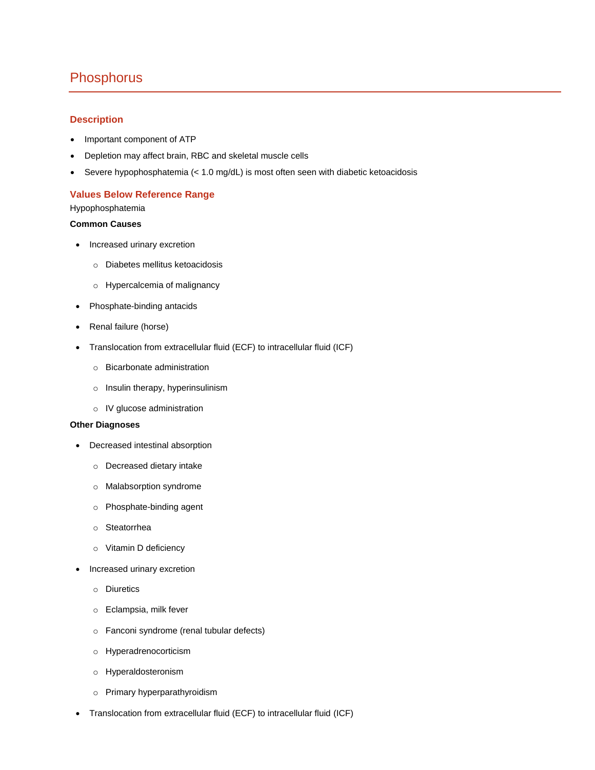## <span id="page-10-0"></span>**Phosphorus**

## **Description**

- Important component of ATP
- Depletion may affect brain, RBC and skeletal muscle cells
- Severe hypophosphatemia (< 1.0 mg/dL) is most often seen with diabetic ketoacidosis

## **Values Below Reference Range**

Hypophosphatemia

#### **Common Causes**

- Increased urinary excretion
	- o Diabetes mellitus ketoacidosis
	- o Hypercalcemia of malignancy
- Phosphate-binding antacids
- Renal failure (horse)
- Translocation from extracellular fluid (ECF) to intracellular fluid (ICF)
	- o Bicarbonate administration
	- o Insulin therapy, hyperinsulinism
	- o IV glucose administration

#### **Other Diagnoses**

- Decreased intestinal absorption
	- o Decreased dietary intake
	- o Malabsorption syndrome
	- o Phosphate-binding agent
	- o Steatorrhea
	- o Vitamin D deficiency
- Increased urinary excretion
	- o Diuretics
	- o Eclampsia, milk fever
	- o Fanconi syndrome (renal tubular defects)
	- o Hyperadrenocorticism
	- o Hyperaldosteronism
	- o Primary hyperparathyroidism
- Translocation from extracellular fluid (ECF) to intracellular fluid (ICF)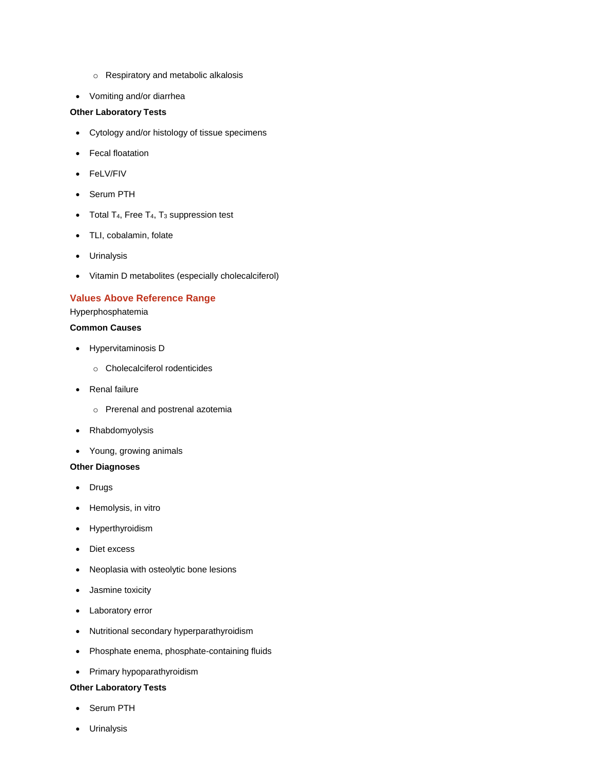- o Respiratory and metabolic alkalosis
- Vomiting and/or diarrhea

## **Other Laboratory Tests**

- Cytology and/or histology of tissue specimens
- Fecal floatation
- FeLV/FIV
- Serum PTH
- $\bullet$  Total T<sub>4</sub>, Free T<sub>4</sub>, T<sub>3</sub> suppression test
- TLI, cobalamin, folate
- Urinalysis
- Vitamin D metabolites (especially cholecalciferol)

## **Values Above Reference Range**

Hyperphosphatemia

## **Common Causes**

- Hypervitaminosis D
	- o Cholecalciferol rodenticides
- Renal failure
	- o Prerenal and postrenal azotemia
- Rhabdomyolysis
- Young, growing animals

#### **Other Diagnoses**

- Drugs
- Hemolysis, in vitro
- Hyperthyroidism
- Diet excess
- Neoplasia with osteolytic bone lesions
- Jasmine toxicity
- Laboratory error
- Nutritional secondary hyperparathyroidism
- Phosphate enema, phosphate-containing fluids
- Primary hypoparathyroidism

## **Other Laboratory Tests**

- Serum PTH
- Urinalysis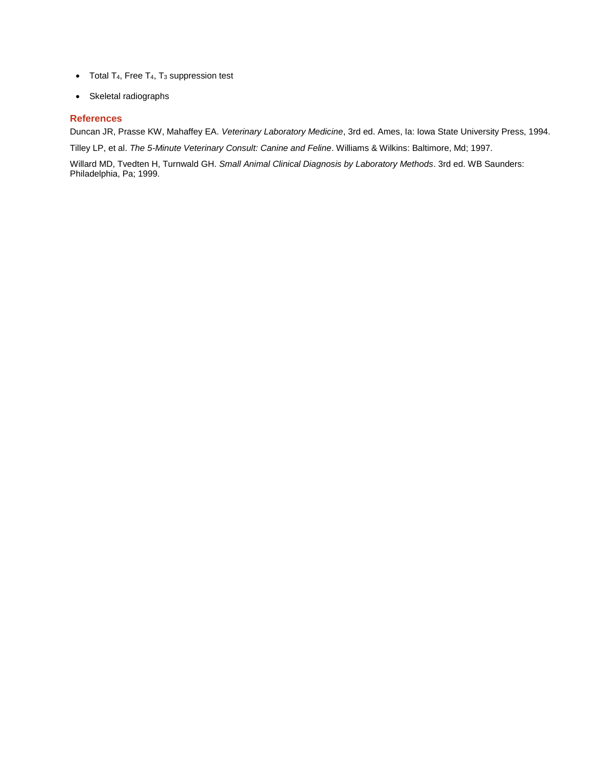- $\bullet$  Total T<sub>4</sub>, Free T<sub>4</sub>, T<sub>3</sub> suppression test
- Skeletal radiographs

## **References**

Duncan JR, Prasse KW, Mahaffey EA. *Veterinary Laboratory Medicine*, 3rd ed. Ames, Ia: Iowa State University Press, 1994.

Tilley LP, et al. *The 5-Minute Veterinary Consult: Canine and Feline*. Williams & Wilkins: Baltimore, Md; 1997.

Willard MD, Tvedten H, Turnwald GH. *Small Animal Clinical Diagnosis by Laboratory Methods*. 3rd ed. WB Saunders: Philadelphia, Pa; 1999.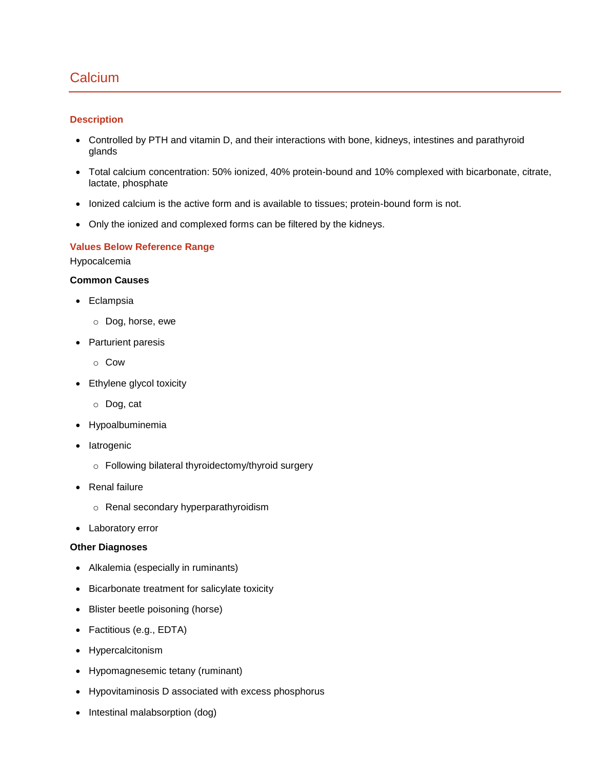# <span id="page-13-0"></span>**Calcium**

## **Description**

- Controlled by PTH and vitamin D, and their interactions with bone, kidneys, intestines and parathyroid glands
- Total calcium concentration: 50% ionized, 40% protein-bound and 10% complexed with bicarbonate, citrate, lactate, phosphate
- Ionized calcium is the active form and is available to tissues; protein-bound form is not.
- Only the ionized and complexed forms can be filtered by the kidneys.

## **Values Below Reference Range**

Hypocalcemia

## **Common Causes**

- Eclampsia
	- o Dog, horse, ewe
- Parturient paresis
	- o Cow
- Ethylene glycol toxicity
	- o Dog, cat
- Hypoalbuminemia
- latrogenic
	- o Following bilateral thyroidectomy/thyroid surgery
- Renal failure
	- o Renal secondary hyperparathyroidism
- Laboratory error

## **Other Diagnoses**

- Alkalemia (especially in ruminants)
- Bicarbonate treatment for salicylate toxicity
- Blister beetle poisoning (horse)
- Factitious (e.g., EDTA)
- Hypercalcitonism
- Hypomagnesemic tetany (ruminant)
- Hypovitaminosis D associated with excess phosphorus
- Intestinal malabsorption (dog)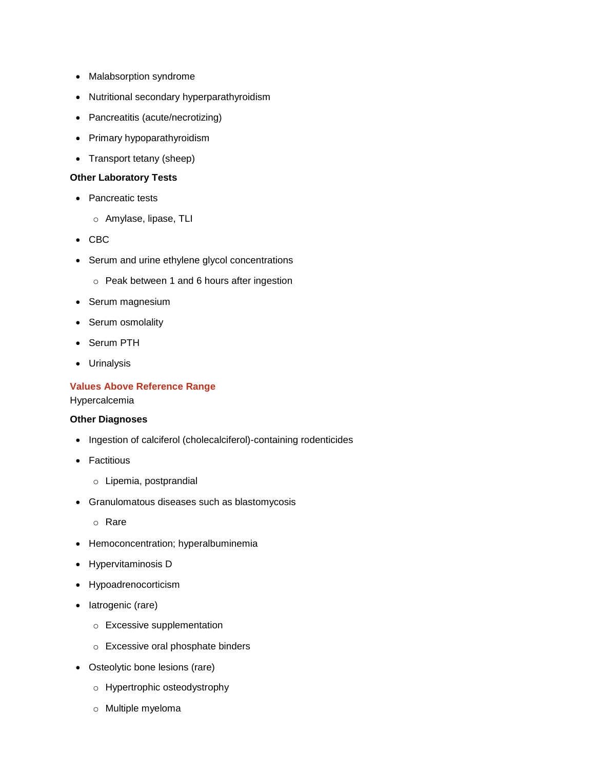- Malabsorption syndrome
- Nutritional secondary hyperparathyroidism
- Pancreatitis (acute/necrotizing)
- Primary hypoparathyroidism
- Transport tetany (sheep)

## **Other Laboratory Tests**

- Pancreatic tests
	- o Amylase, lipase, TLI
- CBC
- Serum and urine ethylene glycol concentrations
	- o Peak between 1 and 6 hours after ingestion
- Serum magnesium
- Serum osmolality
- Serum PTH
- Urinalysis

## **Values Above Reference Range**

Hypercalcemia

## **Other Diagnoses**

- Ingestion of calciferol (cholecalciferol)-containing rodenticides
- Factitious
	- o Lipemia, postprandial
- Granulomatous diseases such as blastomycosis
	- o Rare
- Hemoconcentration; hyperalbuminemia
- Hypervitaminosis D
- Hypoadrenocorticism
- latrogenic (rare)
	- o Excessive supplementation
	- o Excessive oral phosphate binders
- Osteolytic bone lesions (rare)
	- o Hypertrophic osteodystrophy
	- o Multiple myeloma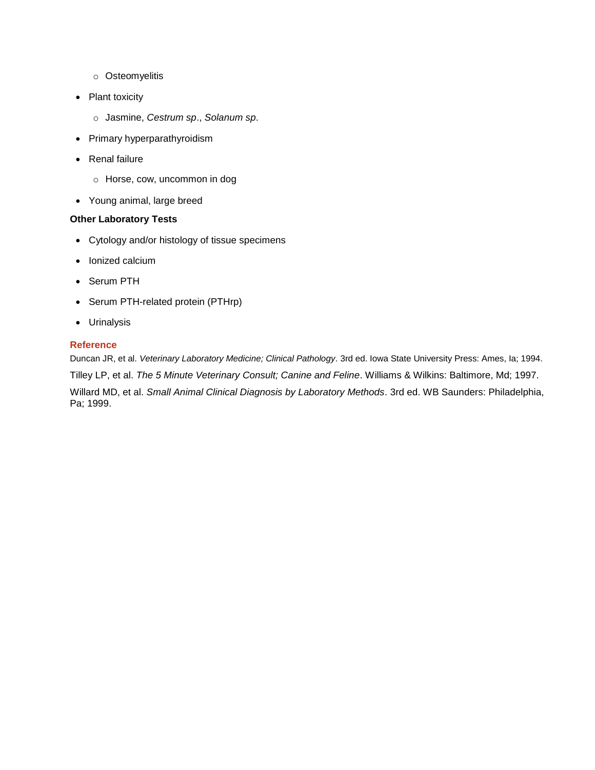- o Osteomyelitis
- Plant toxicity
	- o Jasmine, *Cestrum sp*., *Solanum sp*.
- Primary hyperparathyroidism
- Renal failure
	- o Horse, cow, uncommon in dog
- Young animal, large breed

## **Other Laboratory Tests**

- Cytology and/or histology of tissue specimens
- Ionized calcium
- Serum PTH
- Serum PTH-related protein (PTHrp)
- Urinalysis

## **Reference**

Duncan JR, et al. *Veterinary Laboratory Medicine; Clinical Pathology*. 3rd ed. Iowa State University Press: Ames, Ia; 1994. Tilley LP, et al. *The 5 Minute Veterinary Consult; Canine and Feline*. Williams & Wilkins: Baltimore, Md; 1997. Willard MD, et al. *Small Animal Clinical Diagnosis by Laboratory Methods*. 3rd ed. WB Saunders: Philadelphia, Pa; 1999.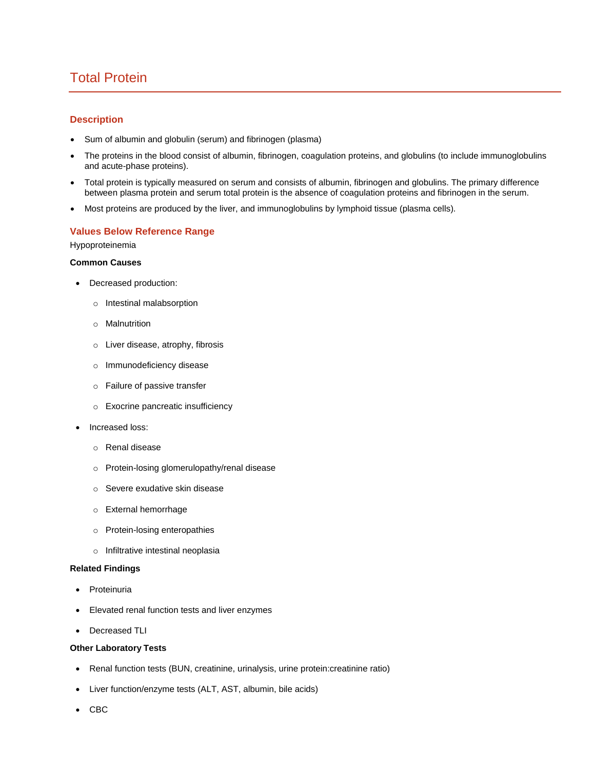# <span id="page-16-0"></span>Total Protein

## **Description**

- Sum of albumin and globulin (serum) and fibrinogen (plasma)
- The proteins in the blood consist of albumin, fibrinogen, coagulation proteins, and globulins (to include immunoglobulins and acute-phase proteins).
- Total protein is typically measured on serum and consists of albumin, fibrinogen and globulins. The primary difference between plasma protein and serum total protein is the absence of coagulation proteins and fibrinogen in the serum.
- Most proteins are produced by the liver, and immunoglobulins by lymphoid tissue (plasma cells).

#### **Values Below Reference Range**

Hypoproteinemia

## **Common Causes**

- Decreased production:
	- o Intestinal malabsorption
	- o Malnutrition
	- o Liver disease, atrophy, fibrosis
	- o Immunodeficiency disease
	- o Failure of passive transfer
	- o Exocrine pancreatic insufficiency
- Increased loss:
	- o Renal disease
	- o Protein-losing glomerulopathy/renal disease
	- o Severe exudative skin disease
	- o External hemorrhage
	- o Protein-losing enteropathies
	- o Infiltrative intestinal neoplasia

#### **Related Findings**

- Proteinuria
- Elevated renal function tests and liver enzymes
- Decreased TLI

#### **Other Laboratory Tests**

- Renal function tests (BUN, creatinine, urinalysis, urine protein:creatinine ratio)
- Liver function/enzyme tests (ALT, AST, albumin, bile acids)
- CBC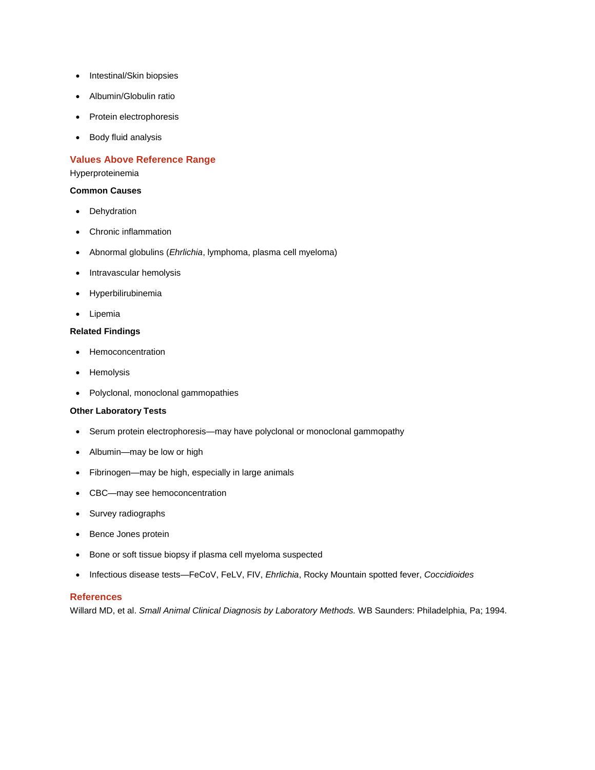- Intestinal/Skin biopsies
- Albumin/Globulin ratio
- Protein electrophoresis
- Body fluid analysis

## **Values Above Reference Range**

#### Hyperproteinemia

#### **Common Causes**

- Dehydration
- Chronic inflammation
- Abnormal globulins (*Ehrlichia*, lymphoma, plasma cell myeloma)
- Intravascular hemolysis
- Hyperbilirubinemia
- Lipemia

## **Related Findings**

- Hemoconcentration
- Hemolysis
- Polyclonal, monoclonal gammopathies

#### **Other Laboratory Tests**

- Serum protein electrophoresis—may have polyclonal or monoclonal gammopathy
- Albumin—may be low or high
- Fibrinogen—may be high, especially in large animals
- CBC—may see hemoconcentration
- Survey radiographs
- Bence Jones protein
- Bone or soft tissue biopsy if plasma cell myeloma suspected
- Infectious disease tests—FeCoV, FeLV, FIV, *Ehrlichia*, Rocky Mountain spotted fever, *Coccidioides*

#### **References**

Willard MD, et al. *Small Animal Clinical Diagnosis by Laboratory Methods.* WB Saunders: Philadelphia, Pa; 1994.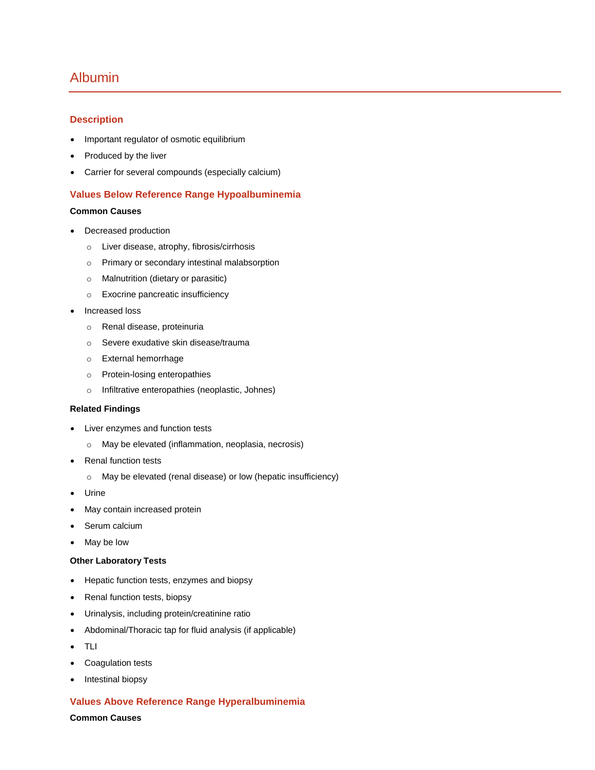# <span id="page-18-0"></span>Albumin

## **Description**

- Important regulator of osmotic equilibrium
- Produced by the liver
- Carrier for several compounds (especially calcium)

## **Values Below Reference Range Hypoalbuminemia**

## **Common Causes**

- Decreased production
	- o Liver disease, atrophy, fibrosis/cirrhosis
	- o Primary or secondary intestinal malabsorption
	- o Malnutrition (dietary or parasitic)
	- o Exocrine pancreatic insufficiency
- Increased loss
	- o Renal disease, proteinuria
	- o Severe exudative skin disease/trauma
	- o External hemorrhage
	- o Protein-losing enteropathies
	- o Infiltrative enteropathies (neoplastic, Johnes)

#### **Related Findings**

- Liver enzymes and function tests
	- o May be elevated (inflammation, neoplasia, necrosis)
- Renal function tests
	- o May be elevated (renal disease) or low (hepatic insufficiency)
- Urine
- May contain increased protein
- Serum calcium
- May be low

#### **Other Laboratory Tests**

- Hepatic function tests, enzymes and biopsy
- Renal function tests, biopsy
- Urinalysis, including protein/creatinine ratio
- Abdominal/Thoracic tap for fluid analysis (if applicable)
- TLI
- Coagulation tests
- Intestinal biopsy

## **Values Above Reference Range Hyperalbuminemia**

**Common Causes**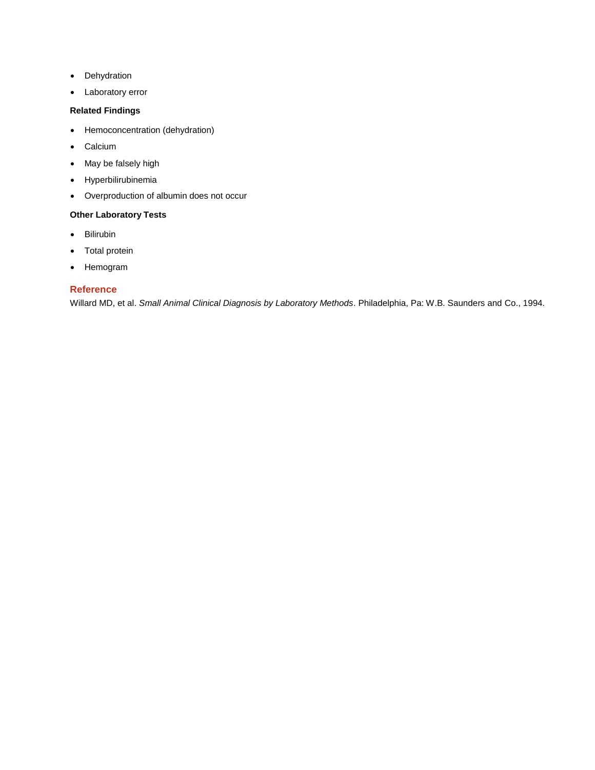- Dehydration
- Laboratory error

## **Related Findings**

- Hemoconcentration (dehydration)
- Calcium
- May be falsely high
- Hyperbilirubinemia
- Overproduction of albumin does not occur

## **Other Laboratory Tests**

- Bilirubin
- Total protein
- Hemogram

## **Reference**

Willard MD, et al. *Small Animal Clinical Diagnosis by Laboratory Methods*. Philadelphia, Pa: W.B. Saunders and Co., 1994.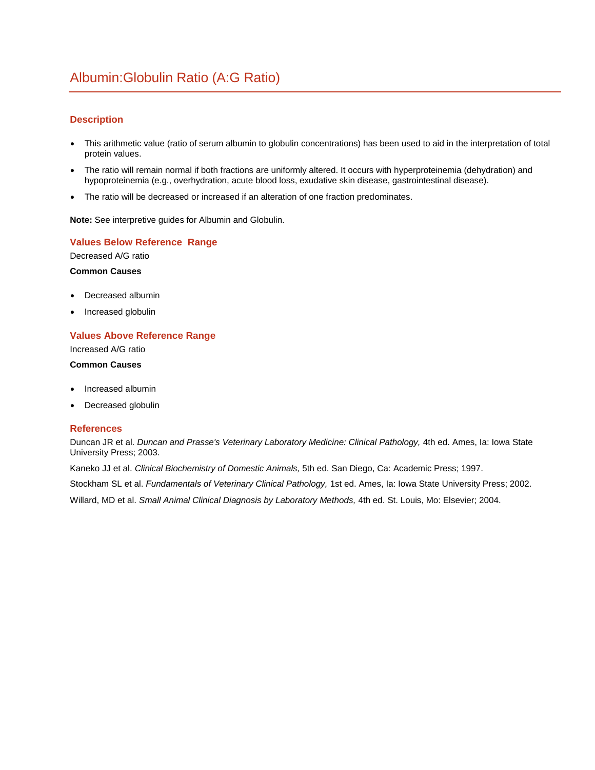## <span id="page-20-0"></span>**Description**

- This arithmetic value (ratio of serum albumin to globulin concentrations) has been used to aid in the interpretation of total protein values.
- The ratio will remain normal if both fractions are uniformly altered. It occurs with hyperproteinemia (dehydration) and hypoproteinemia (e.g., overhydration, acute blood loss, exudative skin disease, gastrointestinal disease).
- The ratio will be decreased or increased if an alteration of one fraction predominates.

**Note:** See interpretive guides for Albumin and Globulin.

## **Values Below Reference Range**

Decreased A/G ratio

#### **Common Causes**

- Decreased albumin
- Increased globulin

## **Values Above Reference Range**

Increased A/G ratio

## **Common Causes**

- Increased albumin
- Decreased globulin

#### **References**

Duncan JR et al. *Duncan and Prasse's Veterinary Laboratory Medicine: Clinical Pathology,* 4th ed. Ames, Ia: Iowa State University Press; 2003.

Kaneko JJ et al. *Clinical Biochemistry of Domestic Animals,* 5th ed. San Diego, Ca: Academic Press; 1997.

Stockham SL et al. *Fundamentals of Veterinary Clinical Pathology,* 1st ed. Ames, Ia: Iowa State University Press; 2002.

Willard, MD et al. *Small Animal Clinical Diagnosis by Laboratory Methods,* 4th ed. St. Louis, Mo: Elsevier; 2004.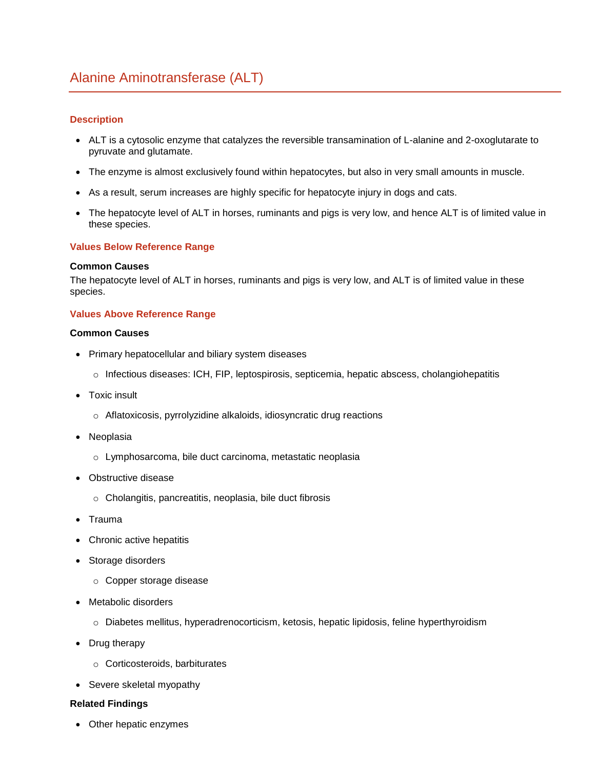## <span id="page-21-0"></span>**Description**

- ALT is a cytosolic enzyme that catalyzes the reversible transamination of L-alanine and 2-oxoglutarate to pyruvate and glutamate.
- The enzyme is almost exclusively found within hepatocytes, but also in very small amounts in muscle.
- As a result, serum increases are highly specific for hepatocyte injury in dogs and cats.
- The hepatocyte level of ALT in horses, ruminants and pigs is very low, and hence ALT is of limited value in these species.

## **Values Below Reference Range**

## **Common Causes**

The hepatocyte level of ALT in horses, ruminants and pigs is very low, and ALT is of limited value in these species.

## **Values Above Reference Range**

## **Common Causes**

- Primary hepatocellular and biliary system diseases
	- o Infectious diseases: ICH, FIP, leptospirosis, septicemia, hepatic abscess, cholangiohepatitis
- Toxic insult
	- o Aflatoxicosis, pyrrolyzidine alkaloids, idiosyncratic drug reactions
- Neoplasia
	- o Lymphosarcoma, bile duct carcinoma, metastatic neoplasia
- Obstructive disease
	- o Cholangitis, pancreatitis, neoplasia, bile duct fibrosis
- Trauma
- Chronic active hepatitis
- Storage disorders
	- o Copper storage disease
- Metabolic disorders
	- o Diabetes mellitus, hyperadrenocorticism, ketosis, hepatic lipidosis, feline hyperthyroidism
- Drug therapy
	- o Corticosteroids, barbiturates
- Severe skeletal myopathy

## **Related Findings**

Other hepatic enzymes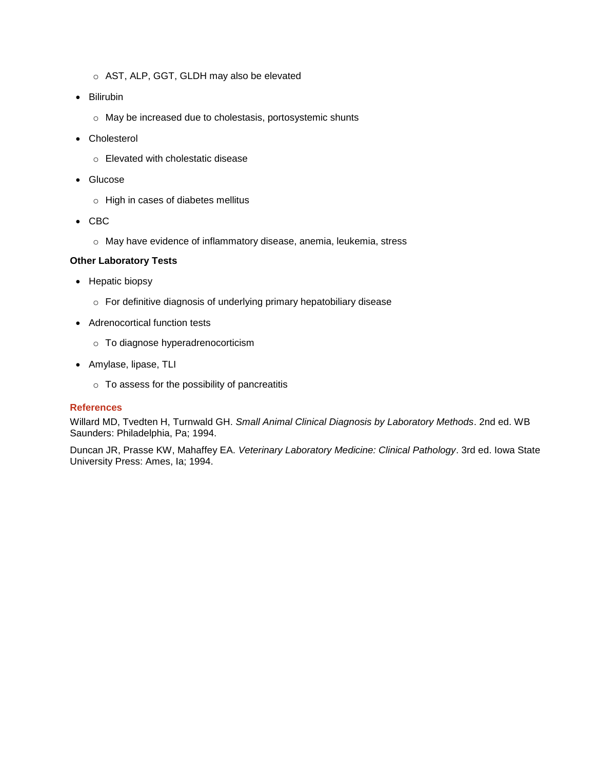- o AST, ALP, GGT, GLDH may also be elevated
- Bilirubin
	- o May be increased due to cholestasis, portosystemic shunts
- Cholesterol
	- o Elevated with cholestatic disease
- Glucose
	- o High in cases of diabetes mellitus
- $\bullet$  CBC
	- o May have evidence of inflammatory disease, anemia, leukemia, stress

## **Other Laboratory Tests**

- Hepatic biopsy
	- o For definitive diagnosis of underlying primary hepatobiliary disease
- Adrenocortical function tests
	- o To diagnose hyperadrenocorticism
- Amylase, lipase, TLI
	- o To assess for the possibility of pancreatitis

## **References**

Willard MD, Tvedten H, Turnwald GH. *Small Animal Clinical Diagnosis by Laboratory Methods*. 2nd ed. WB Saunders: Philadelphia, Pa; 1994.

Duncan JR, Prasse KW, Mahaffey EA. *Veterinary Laboratory Medicine: Clinical Pathology*. 3rd ed. Iowa State University Press: Ames, Ia; 1994.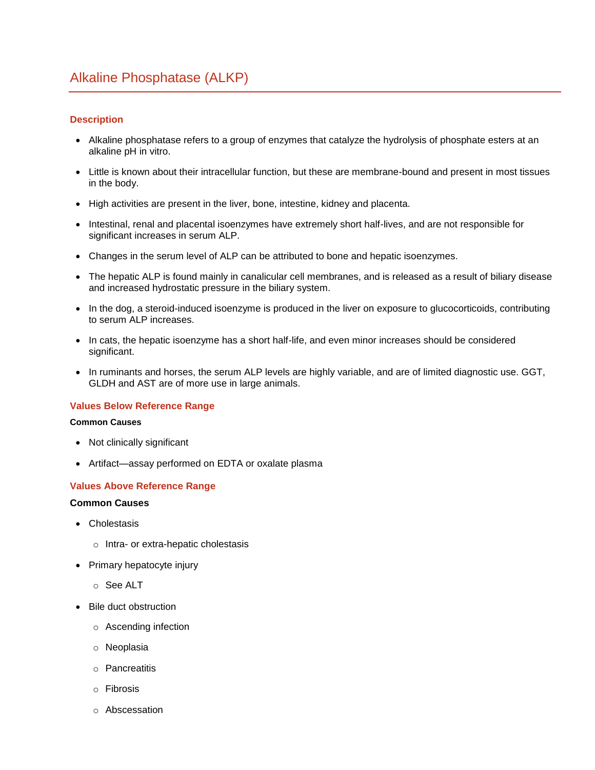## <span id="page-23-0"></span>**Description**

- Alkaline phosphatase refers to a group of enzymes that catalyze the hydrolysis of phosphate esters at an alkaline pH in vitro.
- Little is known about their intracellular function, but these are membrane-bound and present in most tissues in the body.
- High activities are present in the liver, bone, intestine, kidney and placenta.
- Intestinal, renal and placental isoenzymes have extremely short half-lives, and are not responsible for significant increases in serum ALP.
- Changes in the serum level of ALP can be attributed to bone and hepatic isoenzymes.
- The hepatic ALP is found mainly in canalicular cell membranes, and is released as a result of biliary disease and increased hydrostatic pressure in the biliary system.
- In the dog, a steroid-induced isoenzyme is produced in the liver on exposure to glucocorticoids, contributing to serum ALP increases.
- In cats, the hepatic isoenzyme has a short half-life, and even minor increases should be considered significant.
- In ruminants and horses, the serum ALP levels are highly variable, and are of limited diagnostic use. GGT, GLDH and AST are of more use in large animals.

## **Values Below Reference Range**

## **Common Causes**

- Not clinically significant
- Artifact—assay performed on EDTA or oxalate plasma

## **Values Above Reference Range**

## **Common Causes**

- Cholestasis
	- o Intra- or extra-hepatic cholestasis
- Primary hepatocyte injury
	- o See ALT
- Bile duct obstruction
	- o Ascending infection
	- o Neoplasia
	- o Pancreatitis
	- o Fibrosis
	- o Abscessation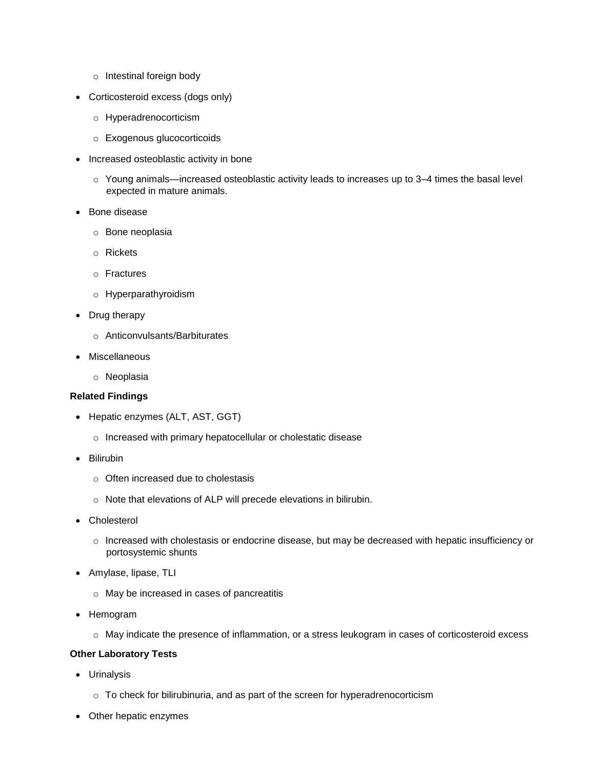- o Intestinal foreign body
- Corticosteroid excess (dogs only)
	- o Hyperadrenocorticism
	- o Exogenous glucocorticoids
- Increased osteoblastic activity in bone
	- $\circ$  Young animals—increased osteoblastic activity leads to increases up to 3–4 times the basal level expected in mature animals.
- Bone disease
	- o Bone neoplasia
	- o Rickets
	- o Fractures
	- o Hyperparathyroidism
- Drug therapy
	- o Anticonvulsants/Barbiturates
- Miscellaneous
	- o Neoplasia

## **Related Findings**

- Hepatic enzymes (ALT, AST, GGT)
	- o Increased with primary hepatocellular or cholestatic disease
- Bilirubin
	- o Often increased due to cholestasis
	- o Note that elevations of ALP will precede elevations in bilirubin.
- Cholesterol
	- o Increased with cholestasis or endocrine disease, but may be decreased with hepatic insufficiency or portosystemic shunts
- Amylase, lipase, TLI
	- o May be increased in cases of pancreatitis
- Hemogram
	- o May indicate the presence of inflammation, or a stress leukogram in cases of corticosteroid excess

## **Other Laboratory Tests**

- Urinalysis
	- o To check for bilirubinuria, and as part of the screen for hyperadrenocorticism
- Other hepatic enzymes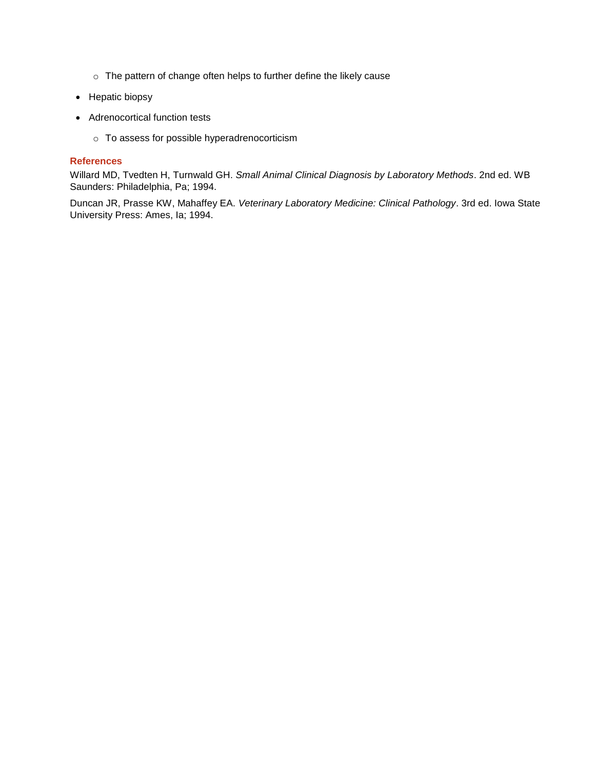- o The pattern of change often helps to further define the likely cause
- Hepatic biopsy
- Adrenocortical function tests
	- o To assess for possible hyperadrenocorticism

## **References**

Willard MD, Tvedten H, Turnwald GH. *Small Animal Clinical Diagnosis by Laboratory Methods*. 2nd ed. WB Saunders: Philadelphia, Pa; 1994.

Duncan JR, Prasse KW, Mahaffey EA. *Veterinary Laboratory Medicine: Clinical Pathology*. 3rd ed. Iowa State University Press: Ames, Ia; 1994.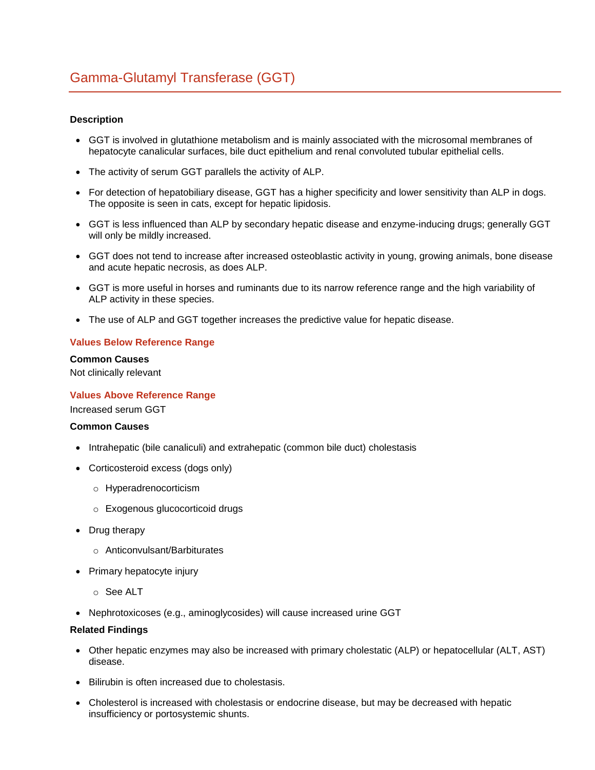## <span id="page-26-0"></span>**Description**

- GGT is involved in glutathione metabolism and is mainly associated with the microsomal membranes of hepatocyte canalicular surfaces, bile duct epithelium and renal convoluted tubular epithelial cells.
- The activity of serum GGT parallels the activity of ALP.
- For detection of hepatobiliary disease, GGT has a higher specificity and lower sensitivity than ALP in dogs. The opposite is seen in cats, except for hepatic lipidosis.
- GGT is less influenced than ALP by secondary hepatic disease and enzyme-inducing drugs; generally GGT will only be mildly increased.
- GGT does not tend to increase after increased osteoblastic activity in young, growing animals, bone disease and acute hepatic necrosis, as does ALP.
- GGT is more useful in horses and ruminants due to its narrow reference range and the high variability of ALP activity in these species.
- The use of ALP and GGT together increases the predictive value for hepatic disease.

## **Values Below Reference Range**

**Common Causes** 

Not clinically relevant

## **Values Above Reference Range**

Increased serum GGT

## **Common Causes**

- Intrahepatic (bile canaliculi) and extrahepatic (common bile duct) cholestasis
- Corticosteroid excess (dogs only)
	- o Hyperadrenocorticism
	- o Exogenous glucocorticoid drugs
- Drug therapy
	- o Anticonvulsant/Barbiturates
- Primary hepatocyte injury
	- o See ALT
- Nephrotoxicoses (e.g., aminoglycosides) will cause increased urine GGT

#### **Related Findings**

- Other hepatic enzymes may also be increased with primary cholestatic (ALP) or hepatocellular (ALT, AST) disease.
- Bilirubin is often increased due to cholestasis.
- Cholesterol is increased with cholestasis or endocrine disease, but may be decreased with hepatic insufficiency or portosystemic shunts.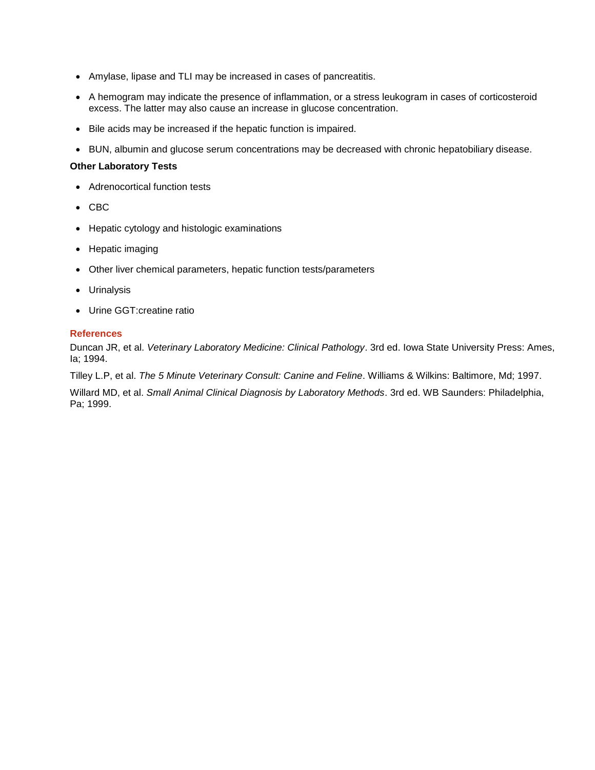- Amylase, lipase and TLI may be increased in cases of pancreatitis.
- A hemogram may indicate the presence of inflammation, or a stress leukogram in cases of corticosteroid excess. The latter may also cause an increase in glucose concentration.
- Bile acids may be increased if the hepatic function is impaired.
- BUN, albumin and glucose serum concentrations may be decreased with chronic hepatobiliary disease.

## **Other Laboratory Tests**

- Adrenocortical function tests
- CBC
- Hepatic cytology and histologic examinations
- Hepatic imaging
- Other liver chemical parameters, hepatic function tests/parameters
- Urinalysis
- Urine GGT:creatine ratio

## **References**

Duncan JR, et al. *Veterinary Laboratory Medicine: Clinical Pathology*. 3rd ed. Iowa State University Press: Ames, Ia; 1994.

Tilley L.P, et al. *The 5 Minute Veterinary Consult: Canine and Feline*. Williams & Wilkins: Baltimore, Md; 1997.

Willard MD, et al. *Small Animal Clinical Diagnosis by Laboratory Methods*. 3rd ed. WB Saunders: Philadelphia, Pa; 1999.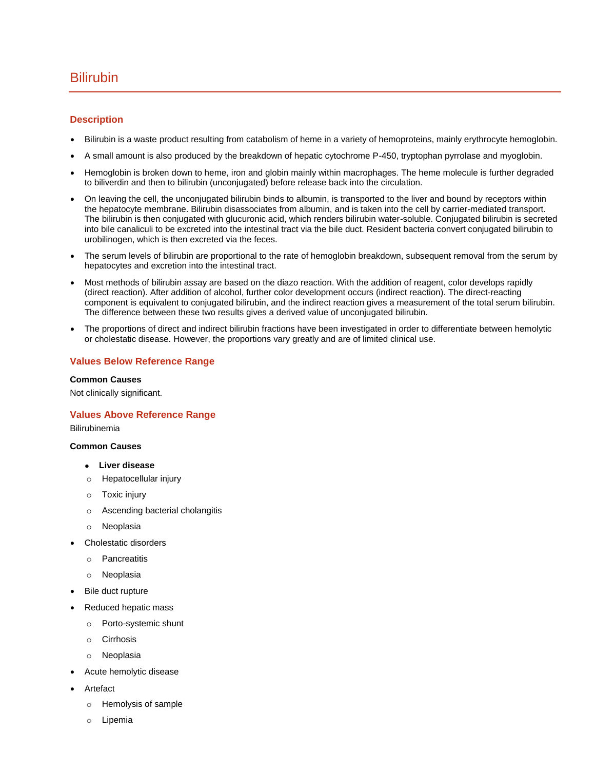## <span id="page-28-0"></span>Bilirubin

## **Description**

- Bilirubin is a waste product resulting from catabolism of heme in a variety of hemoproteins, mainly erythrocyte hemoglobin.
- A small amount is also produced by the breakdown of hepatic cytochrome P-450, tryptophan pyrrolase and myoglobin.
- Hemoglobin is broken down to heme, iron and globin mainly within macrophages. The heme molecule is further degraded to biliverdin and then to bilirubin (unconjugated) before release back into the circulation.
- On leaving the cell, the unconjugated bilirubin binds to albumin, is transported to the liver and bound by receptors within the hepatocyte membrane. Bilirubin disassociates from albumin, and is taken into the cell by carrier-mediated transport. The bilirubin is then conjugated with glucuronic acid, which renders bilirubin water-soluble. Conjugated bilirubin is secreted into bile canaliculi to be excreted into the intestinal tract via the bile duct. Resident bacteria convert conjugated bilirubin to urobilinogen, which is then excreted via the feces.
- The serum levels of bilirubin are proportional to the rate of hemoglobin breakdown, subsequent removal from the serum by hepatocytes and excretion into the intestinal tract.
- Most methods of bilirubin assay are based on the diazo reaction. With the addition of reagent, color develops rapidly (direct reaction). After addition of alcohol, further color development occurs (indirect reaction). The direct-reacting component is equivalent to conjugated bilirubin, and the indirect reaction gives a measurement of the total serum bilirubin. The difference between these two results gives a derived value of unconjugated bilirubin.
- The proportions of direct and indirect bilirubin fractions have been investigated in order to differentiate between hemolytic or cholestatic disease. However, the proportions vary greatly and are of limited clinical use.

## **Values Below Reference Range**

#### **Common Causes**

Not clinically significant.

## **Values Above Reference Range**

Bilirubinemia

## **Common Causes**

- **Liver disease**
- o Hepatocellular injury
- o Toxic injury
- o Ascending bacterial cholangitis
- o Neoplasia
- Cholestatic disorders
	- o Pancreatitis
	- o Neoplasia
- Bile duct rupture
- Reduced hepatic mass
	- o Porto-systemic shunt
	- o Cirrhosis
	- o Neoplasia
- Acute hemolytic disease
- Artefact
	- o Hemolysis of sample
	- o Lipemia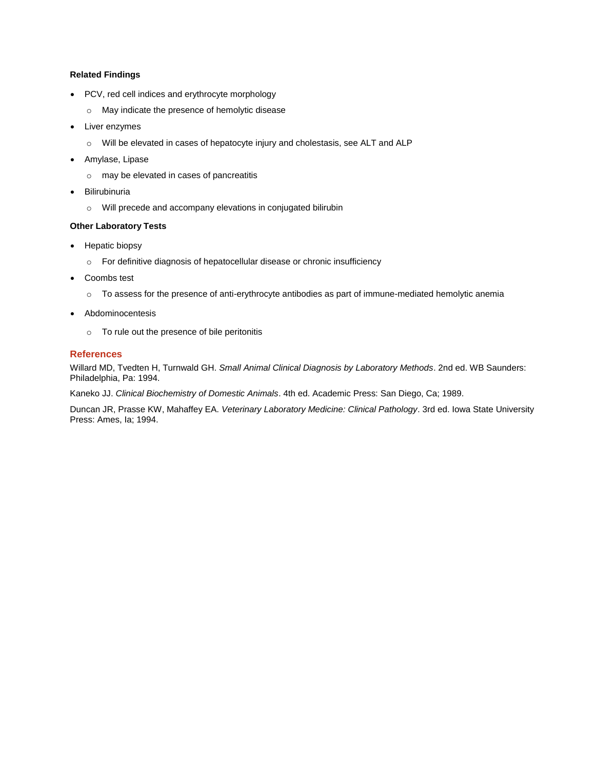## **Related Findings**

- PCV, red cell indices and erythrocyte morphology
	- o May indicate the presence of hemolytic disease
- Liver enzymes
	- o Will be elevated in cases of hepatocyte injury and cholestasis, see ALT and ALP
- Amylase, Lipase
	- o may be elevated in cases of pancreatitis
- Bilirubinuria
	- o Will precede and accompany elevations in conjugated bilirubin

## **Other Laboratory Tests**

- Hepatic biopsy
	- o For definitive diagnosis of hepatocellular disease or chronic insufficiency
- Coombs test
	- o To assess for the presence of anti-erythrocyte antibodies as part of immune-mediated hemolytic anemia
- Abdominocentesis
	- o To rule out the presence of bile peritonitis

## **References**

Willard MD, Tvedten H, Turnwald GH. *Small Animal Clinical Diagnosis by Laboratory Methods*. 2nd ed. WB Saunders: Philadelphia, Pa: 1994.

Kaneko JJ. *Clinical Biochemistry of Domestic Animals*. 4th ed. Academic Press: San Diego, Ca; 1989.

Duncan JR, Prasse KW, Mahaffey EA. *Veterinary Laboratory Medicine: Clinical Pathology*. 3rd ed. Iowa State University Press: Ames, Ia; 1994.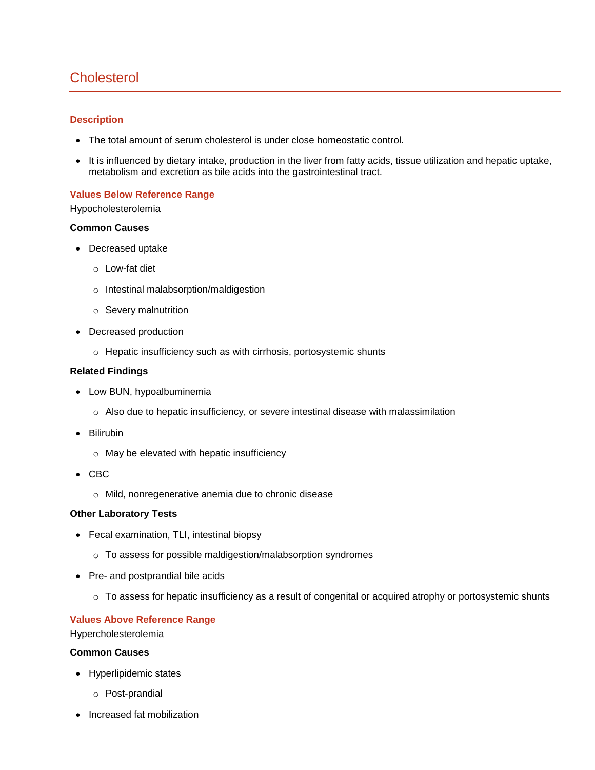# <span id="page-30-0"></span>**Cholesterol**

## **Description**

- The total amount of serum cholesterol is under close homeostatic control.
- It is influenced by dietary intake, production in the liver from fatty acids, tissue utilization and hepatic uptake, metabolism and excretion as bile acids into the gastrointestinal tract.

## **Values Below Reference Range**

## Hypocholesterolemia

## **Common Causes**

- Decreased uptake
	- o Low-fat diet
	- o Intestinal malabsorption/maldigestion
	- o Severy malnutrition
- Decreased production
	- o Hepatic insufficiency such as with cirrhosis, portosystemic shunts

## **Related Findings**

- Low BUN, hypoalbuminemia
	- o Also due to hepatic insufficiency, or severe intestinal disease with malassimilation
- Bilirubin
	- o May be elevated with hepatic insufficiency
- CBC
	- o Mild, nonregenerative anemia due to chronic disease

## **Other Laboratory Tests**

- Fecal examination, TLI, intestinal biopsy
	- o To assess for possible maldigestion/malabsorption syndromes
- Pre- and postprandial bile acids
	- $\circ$  To assess for hepatic insufficiency as a result of congenital or acquired atrophy or portosystemic shunts

## **Values Above Reference Range**

Hypercholesterolemia

## **Common Causes**

- Hyperlipidemic states
	- o Post-prandial
- Increased fat mobilization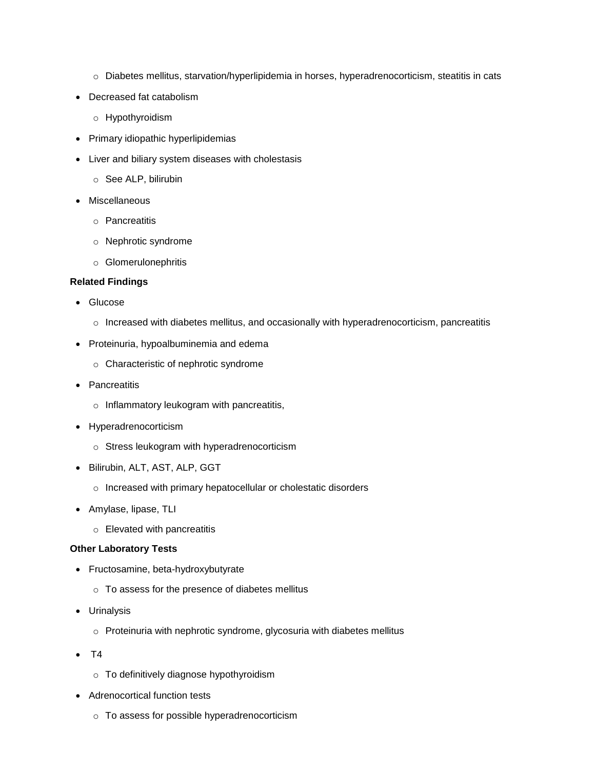- o Diabetes mellitus, starvation/hyperlipidemia in horses, hyperadrenocorticism, steatitis in cats
- Decreased fat catabolism
	- o Hypothyroidism
- Primary idiopathic hyperlipidemias
- Liver and biliary system diseases with cholestasis
	- o See ALP, bilirubin
- Miscellaneous
	- o Pancreatitis
	- o Nephrotic syndrome
	- o Glomerulonephritis

## **Related Findings**

- Glucose
	- $\circ$  Increased with diabetes mellitus, and occasionally with hyperadrenocorticism, pancreatitis
- Proteinuria, hypoalbuminemia and edema
	- o Characteristic of nephrotic syndrome
- Pancreatitis
	- o Inflammatory leukogram with pancreatitis,
- Hyperadrenocorticism
	- o Stress leukogram with hyperadrenocorticism
- Bilirubin, ALT, AST, ALP, GGT
	- o Increased with primary hepatocellular or cholestatic disorders
- Amylase, lipase, TLI
	- o Elevated with pancreatitis

## **Other Laboratory Tests**

- Fructosamine, beta-hydroxybutyrate
	- o To assess for the presence of diabetes mellitus
- Urinalysis
	- o Proteinuria with nephrotic syndrome, glycosuria with diabetes mellitus
- $\bullet$  T4
	- o To definitively diagnose hypothyroidism
- Adrenocortical function tests
	- o To assess for possible hyperadrenocorticism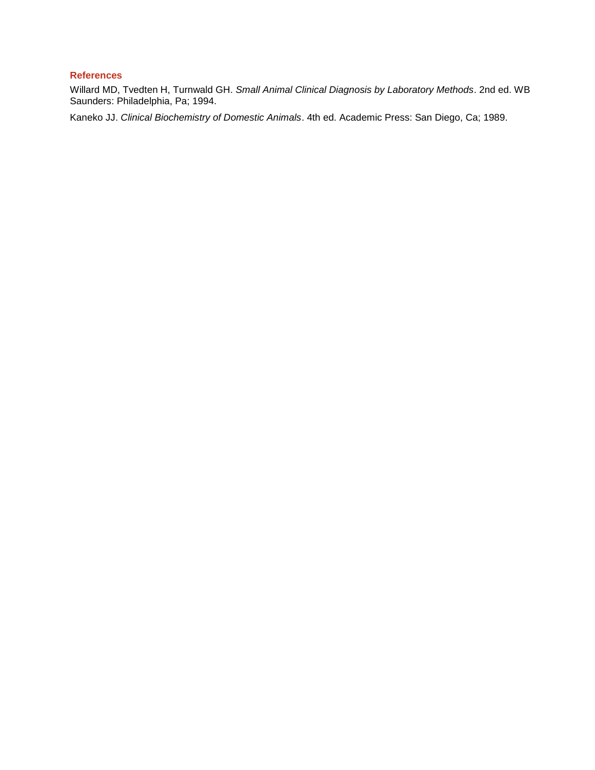## **References**

Willard MD, Tvedten H, Turnwald GH. *Small Animal Clinical Diagnosis by Laboratory Methods*. 2nd ed. WB Saunders: Philadelphia, Pa; 1994.

Kaneko JJ. *Clinical Biochemistry of Domestic Animals*. 4th ed. Academic Press: San Diego, Ca; 1989.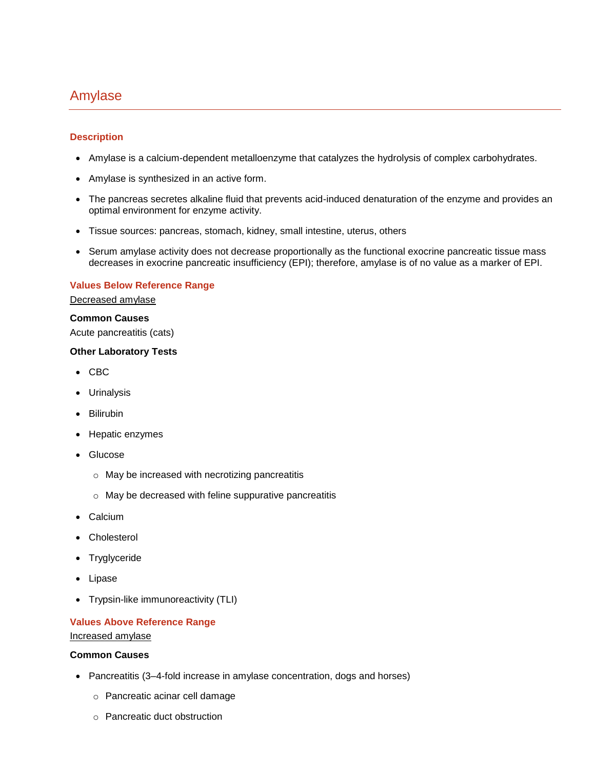# <span id="page-33-0"></span>Amylase

## **Description**

- Amylase is a calcium-dependent metalloenzyme that catalyzes the hydrolysis of complex carbohydrates.
- Amylase is synthesized in an active form.
- The pancreas secretes alkaline fluid that prevents acid-induced denaturation of the enzyme and provides an optimal environment for enzyme activity.
- Tissue sources: pancreas, stomach, kidney, small intestine, uterus, others
- Serum amylase activity does not decrease proportionally as the functional exocrine pancreatic tissue mass decreases in exocrine pancreatic insufficiency (EPI); therefore, amylase is of no value as a marker of EPI.

## **Values Below Reference Range**

Decreased amylase

## **Common Causes**

Acute pancreatitis (cats)

## **Other Laboratory Tests**

- CBC
- Urinalysis
- Bilirubin
- Hepatic enzymes
- Glucose
	- o May be increased with necrotizing pancreatitis
	- o May be decreased with feline suppurative pancreatitis
- Calcium
- Cholesterol
- Tryglyceride
- Lipase
- Trypsin-like immunoreactivity (TLI)

## **Values Above Reference Range**

Increased amylase

## **Common Causes**

- Pancreatitis (3-4-fold increase in amylase concentration, dogs and horses)
	- o Pancreatic acinar cell damage
	- o Pancreatic duct obstruction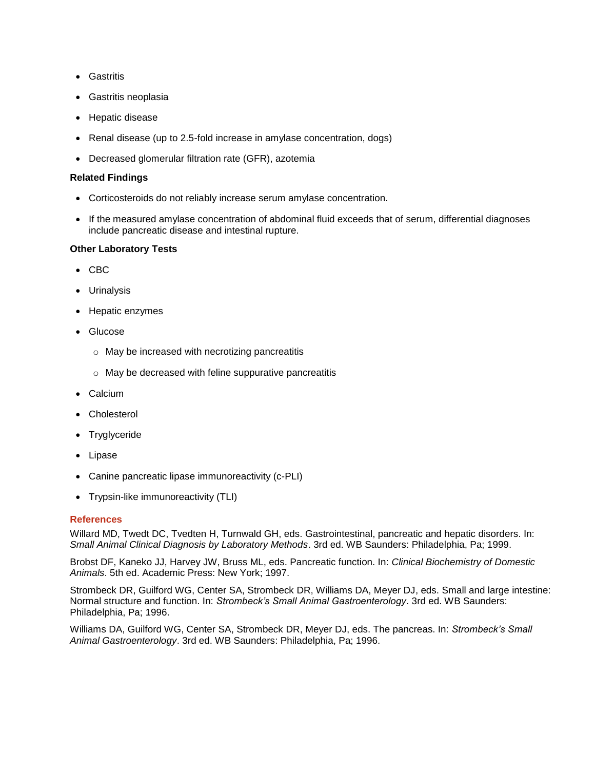- Gastritis
- Gastritis neoplasia
- Hepatic disease
- Renal disease (up to 2.5-fold increase in amylase concentration, dogs)
- Decreased glomerular filtration rate (GFR), azotemia

## **Related Findings**

- Corticosteroids do not reliably increase serum amylase concentration.
- If the measured amylase concentration of abdominal fluid exceeds that of serum, differential diagnoses include pancreatic disease and intestinal rupture.

## **Other Laboratory Tests**

- CBC
- Urinalysis
- Hepatic enzymes
- Glucose
	- o May be increased with necrotizing pancreatitis
	- o May be decreased with feline suppurative pancreatitis
- Calcium
- Cholesterol
- Tryglyceride
- Lipase
- Canine pancreatic lipase immunoreactivity (c-PLI)
- Trypsin-like immunoreactivity (TLI)

## **References**

Willard MD, Twedt DC, Tvedten H, Turnwald GH, eds. Gastrointestinal, pancreatic and hepatic disorders. In: *Small Animal Clinical Diagnosis by Laboratory Methods*. 3rd ed. WB Saunders: Philadelphia, Pa; 1999.

Brobst DF, Kaneko JJ, Harvey JW, Bruss ML, eds. Pancreatic function. In: *Clinical Biochemistry of Domestic Animals*. 5th ed. Academic Press: New York; 1997.

Strombeck DR, Guilford WG, Center SA, Strombeck DR, Williams DA, Meyer DJ, eds. Small and large intestine: Normal structure and function. In: *Strombeck's Small Animal Gastroenterology*. 3rd ed. WB Saunders: Philadelphia, Pa; 1996.

Williams DA, Guilford WG, Center SA, Strombeck DR, Meyer DJ, eds. The pancreas. In: *Strombeck's Small Animal Gastroenterology*. 3rd ed. WB Saunders: Philadelphia, Pa; 1996.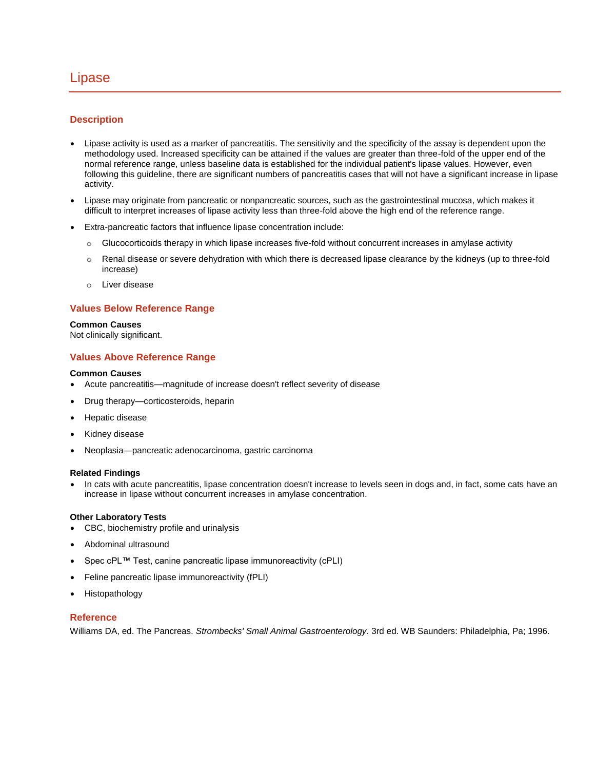## <span id="page-35-0"></span>Lipase

## **Description**

- Lipase activity is used as a marker of pancreatitis. The sensitivity and the specificity of the assay is dependent upon the methodology used. Increased specificity can be attained if the values are greater than three-fold of the upper end of the normal reference range, unless baseline data is established for the individual patient's lipase values. However, even following this guideline, there are significant numbers of pancreatitis cases that will not have a significant increase in lipase activity.
- Lipase may originate from pancreatic or nonpancreatic sources, such as the gastrointestinal mucosa, which makes it difficult to interpret increases of lipase activity less than three-fold above the high end of the reference range.
- Extra-pancreatic factors that influence lipase concentration include:
	- $\circ$  Glucocorticoids therapy in which lipase increases five-fold without concurrent increases in amylase activity
	- $\circ$  Renal disease or severe dehydration with which there is decreased lipase clearance by the kidneys (up to three-fold increase)
	- o Liver disease

## **Values Below Reference Range**

#### **Common Causes**

Not clinically significant.

## **Values Above Reference Range**

#### **Common Causes**

- Acute pancreatitis—magnitude of increase doesn't reflect severity of disease
- Drug therapy—corticosteroids, heparin
- Hepatic disease
- Kidney disease
- Neoplasia—pancreatic adenocarcinoma, gastric carcinoma

#### **Related Findings**

 In cats with acute pancreatitis, lipase concentration doesn't increase to levels seen in dogs and, in fact, some cats have an increase in lipase without concurrent increases in amylase concentration.

#### **Other Laboratory Tests**

- CBC, biochemistry profile and urinalysis
- Abdominal ultrasound
- Spec cPL™ Test, canine pancreatic lipase immunoreactivity (cPLI)
- Feline pancreatic lipase immunoreactivity (fPLI)
- Histopathology

#### **Reference**

Williams DA, ed. The Pancreas. *Strombecks' Small Animal Gastroenterology.* 3rd ed. WB Saunders: Philadelphia, Pa; 1996.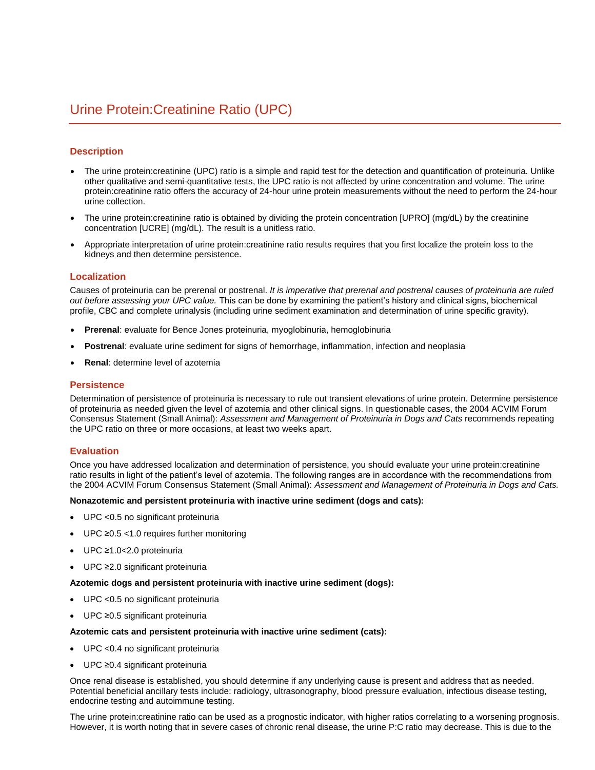## <span id="page-36-0"></span>**Description**

- The urine protein:creatinine (UPC) ratio is a simple and rapid test for the detection and quantification of proteinuria. Unlike other qualitative and semi-quantitative tests, the UPC ratio is not affected by urine concentration and volume. The urine protein:creatinine ratio offers the accuracy of 24-hour urine protein measurements without the need to perform the 24-hour urine collection.
- The urine protein:creatinine ratio is obtained by dividing the protein concentration [UPRO] (mg/dL) by the creatinine concentration [UCRE] (mg/dL). The result is a unitless ratio.
- Appropriate interpretation of urine protein:creatinine ratio results requires that you first localize the protein loss to the kidneys and then determine persistence.

#### **Localization**

Causes of proteinuria can be prerenal or postrenal. *It is imperative that prerenal and postrenal causes of proteinuria are ruled out before assessing your UPC value.* This can be done by examining the patient's history and clinical signs, biochemical profile, CBC and complete urinalysis (including urine sediment examination and determination of urine specific gravity).

- **Prerenal**: evaluate for Bence Jones proteinuria, myoglobinuria, hemoglobinuria
- **Postrenal**: evaluate urine sediment for signs of hemorrhage, inflammation, infection and neoplasia
- **Renal**: determine level of azotemia

#### **Persistence**

Determination of persistence of proteinuria is necessary to rule out transient elevations of urine protein. Determine persistence of proteinuria as needed given the level of azotemia and other clinical signs. In questionable cases, the 2004 ACVIM Forum Consensus Statement (Small Animal): *Assessment and Management of Proteinuria in Dogs and Cats* recommends repeating the UPC ratio on three or more occasions, at least two weeks apart.

#### **Evaluation**

Once you have addressed localization and determination of persistence, you should evaluate your urine protein:creatinine ratio results in light of the patient's level of azotemia. The following ranges are in accordance with the recommendations from the 2004 ACVIM Forum Consensus Statement (Small Animal): *Assessment and Management of Proteinuria in Dogs and Cats.*

#### **Nonazotemic and persistent proteinuria with inactive urine sediment (dogs and cats):**

- UPC <0.5 no significant proteinuria
- UPC ≥0.5 <1.0 requires further monitoring
- UPC ≥1.0<2.0 proteinuria
- UPC ≥2.0 significant proteinuria

#### **Azotemic dogs and persistent proteinuria with inactive urine sediment (dogs):**

- UPC <0.5 no significant proteinuria
- UPC ≥0.5 significant proteinuria

#### **Azotemic cats and persistent proteinuria with inactive urine sediment (cats):**

- UPC <0.4 no significant proteinuria
- UPC ≥0.4 significant proteinuria

Once renal disease is established, you should determine if any underlying cause is present and address that as needed. Potential beneficial ancillary tests include: radiology, ultrasonography, blood pressure evaluation, infectious disease testing, endocrine testing and autoimmune testing.

The urine protein:creatinine ratio can be used as a prognostic indicator, with higher ratios correlating to a worsening prognosis. However, it is worth noting that in severe cases of chronic renal disease, the urine P:C ratio may decrease. This is due to the